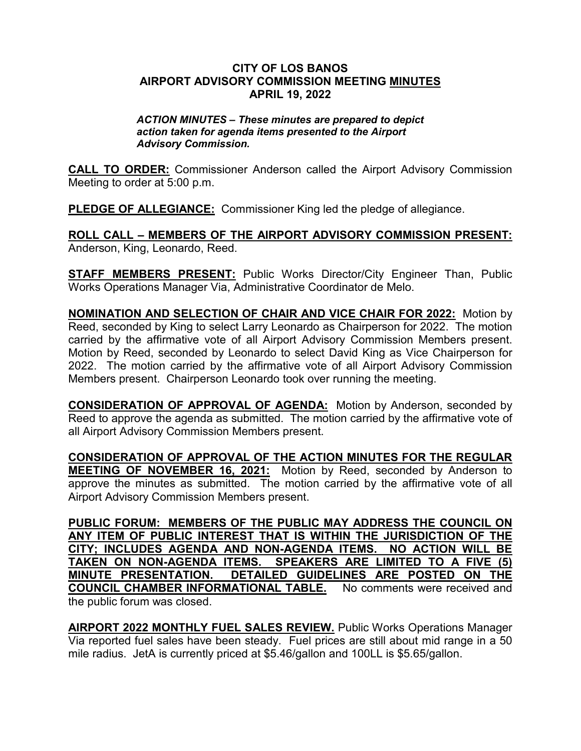## **CITY OF LOS BANOS AIRPORT ADVISORY COMMISSION MEETING MINUTES APRIL 19, 2022**

## *ACTION MINUTES – These minutes are prepared to depict action taken for agenda items presented to the Airport Advisory Commission.*

**CALL TO ORDER:** Commissioner Anderson called the Airport Advisory Commission Meeting to order at 5:00 p.m.

**PLEDGE OF ALLEGIANCE:** Commissioner King led the pledge of allegiance.

**ROLL CALL – MEMBERS OF THE AIRPORT ADVISORY COMMISSION PRESENT:** Anderson, King, Leonardo, Reed.

**STAFF MEMBERS PRESENT:** Public Works Director/City Engineer Than, Public Works Operations Manager Via, Administrative Coordinator de Melo.

**NOMINATION AND SELECTION OF CHAIR AND VICE CHAIR FOR 2022:** Motion by Reed, seconded by King to select Larry Leonardo as Chairperson for 2022. The motion carried by the affirmative vote of all Airport Advisory Commission Members present. Motion by Reed, seconded by Leonardo to select David King as Vice Chairperson for 2022. The motion carried by the affirmative vote of all Airport Advisory Commission Members present. Chairperson Leonardo took over running the meeting.

**CONSIDERATION OF APPROVAL OF AGENDA:** Motion by Anderson, seconded by Reed to approve the agenda as submitted. The motion carried by the affirmative vote of all Airport Advisory Commission Members present.

**CONSIDERATION OF APPROVAL OF THE ACTION MINUTES FOR THE REGULAR MEETING OF NOVEMBER 16, 2021:** Motion by Reed, seconded by Anderson to approve the minutes as submitted. The motion carried by the affirmative vote of all Airport Advisory Commission Members present.

**PUBLIC FORUM: MEMBERS OF THE PUBLIC MAY ADDRESS THE COUNCIL ON ANY ITEM OF PUBLIC INTEREST THAT IS WITHIN THE JURISDICTION OF THE CITY; INCLUDES AGENDA AND NON-AGENDA ITEMS. NO ACTION WILL BE TAKEN ON NON-AGENDA ITEMS. SPEAKERS ARE LIMITED TO A FIVE (5) MINUTE PRESENTATION. DETAILED GUIDELINES ARE POSTED ON THE COUNCIL CHAMBER INFORMATIONAL TABLE.** No comments were received and the public forum was closed.

**AIRPORT 2022 MONTHLY FUEL SALES REVIEW.** Public Works Operations Manager Via reported fuel sales have been steady. Fuel prices are still about mid range in a 50 mile radius. JetA is currently priced at \$5.46/gallon and 100LL is \$5.65/gallon.